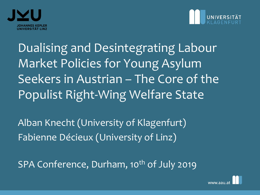



Dualising and Desintegrating Labour Market Policies for Young Asylum Seekers in Austrian – The Core of the Populist Right-Wing Welfare State

Alban Knecht (University of Klagenfurt) Fabienne Décieux (University of Linz)

SPA Conference, Durham, 10<sup>th</sup> of July 2019

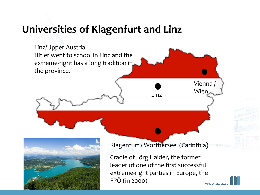#### **Universities of Klagenfurt and Linz**

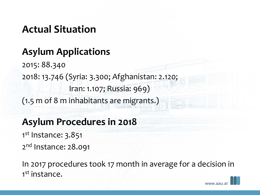### **Actual Situation**

### **Asylum Applications**

2015: 88.340 2018: 13.746 (Syria: 3.300; Afghanistan: 2.120; Iran: 1.107; Russia: 969) (1.5 m of 8 m inhabitants are migrants.)

### **Asylum Procedures in 2018**

- 1st Instance: 3.851
- 2<sup>nd</sup> Instance: 28.091

In 2017 procedures took 17 month in average for a decision in 1<sup>st</sup> instance.

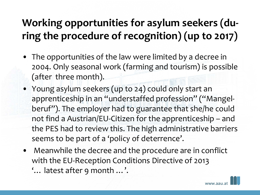## **Working opportunities for asylum seekers (during the procedure of recognition) (up to 2017)**

- The opportunities of the law were limited by a decree in 2004. Only seasonal work (farming and tourism) is possible (after three month).
- Young asylum seekers (up to 24) could only start an apprenticeship in an "understaffed profession" ("Mangelberuf"). The employer had to guarantee that she/he could not find a Austrian/EU-Citizen for the apprenticeship – and the PES had to review this. The high administrative barriers seems to be part of a 'policy of deterrence'.
- Meanwhile the decree and the procedure are in conflict with the EU-Reception Conditions Directive of 2013 '… latest after 9 month …'.

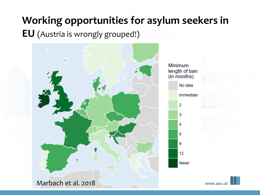### **Working opportunities for asylum seekers in**

#### **EU** (Austria is wrongly grouped!)





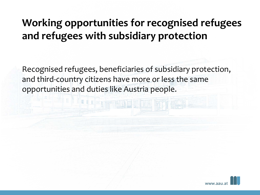### **Working opportunities for recognised refugees and refugees with subsidiary protection**

Recognised refugees, beneficiaries of subsidiary protection, and third-country citizens have more or less the same opportunities and duties like Austria people.

FILE THE

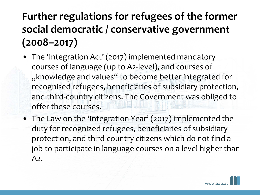# **Further regulations for refugees of the former social democratic / conservative government (2008–2017)**

- The 'Integration Act' (2017) implemented mandatory courses of language (up to A2-level), and courses of "knowledge and values" to become better integrated for recognised refugees, beneficiaries of subsidiary protection, and third-country citizens. The Government was obliged to offer these courses.
- The Law on the 'Integration Year' (2017) implemented the duty for recognized refugees, beneficiaries of subsidiary protection, and third-country citizens which do not find a job to participate in language courses on a level higher than A2.

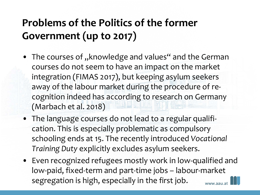## **Problems of the Politics of the former Government (up to 2017)**

- The courses of "knowledge and values" and the German courses do not seem to have an impact on the market integration (FIMAS 2017), but keeping asylum seekers away of the labour market during the procedure of recognition indeed has according to research on Germany (Marbach et al. 2018)
- The language courses do not lead to a regular qualification. This is especially problematic as compulsory schooling ends at 15. The recently introduced *Vocational Training Duty* explicitly excludes asylum seekers.
- Even recognized refugees mostly work in low-qualified and low-paid, fixed-term and part-time jobs – labour-market segregation is high, especially in the first job. www.aali.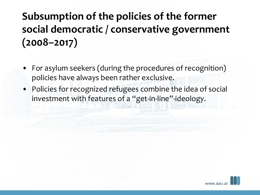# **Subsumption of the policies of the former social democratic / conservative government (2008–2017)**

- For asylum seekers (during the procedures of recognition) policies have always been rather exclusive.
- Policies for recognized refugees combine the idea of social investment with features of a "get-in-line"-ideology.

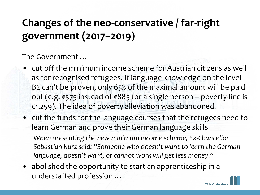# **Changes of the neo-conservative / far-right government (2017–2019)**

The Government …

- cut off the minimum income scheme for Austrian citizens as well as for recognised refugees. If language knowledge on the level B2 can't be proven, only 65% of the maximal amount will be paid out (e.g. €575 instead of €885 for a single person – poverty-line is €1.259). The idea of poverty alleviation was abandoned.
- cut the funds for the language courses that the refugees need to learn German and prove their German language skills.

*When presenting the new minimum income scheme, Ex-Chancellor Sebastian Kurz said: "Someone who doesn't want to learn the German language, doesn't want, or cannot work will get less money*."

• abolished the opportunity to start an apprenticeship in a understaffed profession …

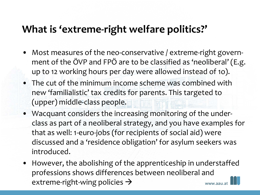### **What is 'extreme-right welfare politics?'**

- Most measures of the neo-conservative / extreme-right government of the ÖVP and FPÖ are to be classified as 'neoliberal' (E.g. up to 12 working hours per day were allowed instead of 1o).
- The cut of the minimum income scheme was combined with new 'familialistic' tax credits for parents. This targeted to (upper) middle-class people.
- Wacquant considers the increasing monitoring of the underclass as part of a neoliberal strategy, and you have examples for that as well: 1-euro-jobs (for recipients of social aid) were discussed and a 'residence obligation' for asylum seekers was introduced.
- However, the abolishing of the apprenticeship in understaffed professions shows differences between neoliberal and extreme-right-wing policies  $\rightarrow$ www.aall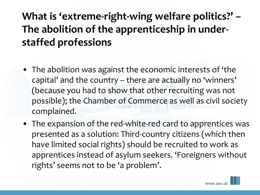## **What is 'extreme-right-wing welfare politics?' – The abolition of the apprenticeship in understaffed professions**

- The abolition was against the economic interests of 'the capital' and the country – there are actually no 'winners' (because you had to show that other recruiting was not possible); the Chamber of Commerce as well as civil society complained.
- The expansion of the red-white-red card to apprentices was presented as a solution: Third-country citizens (which then have limited social rights) should be recruited to work as apprentices instead of asylum seekers. 'Foreigners without rights' seems not to be 'a problem'.